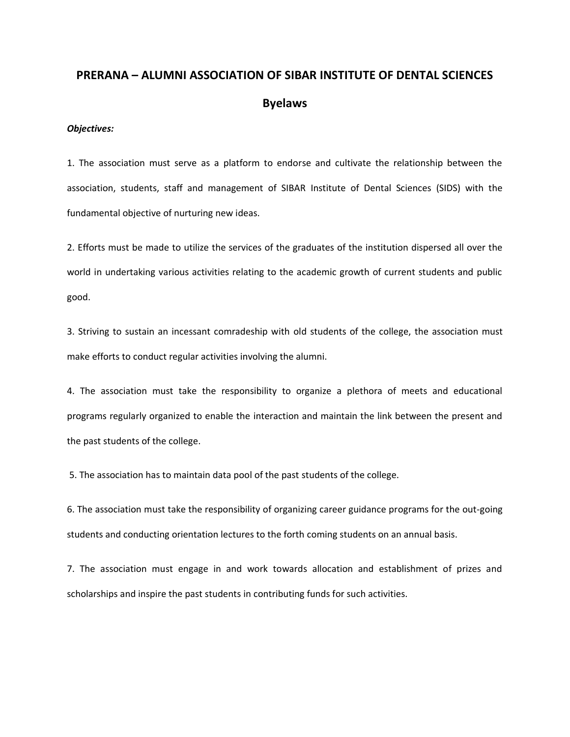# **PRERANA – ALUMNI ASSOCIATION OF SIBAR INSTITUTE OF DENTAL SCIENCES Byelaws**

## *Objectives:*

1. The association must serve as a platform to endorse and cultivate the relationship between the association, students, staff and management of SIBAR Institute of Dental Sciences (SIDS) with the fundamental objective of nurturing new ideas.

2. Efforts must be made to utilize the services of the graduates of the institution dispersed all over the world in undertaking various activities relating to the academic growth of current students and public good.

3. Striving to sustain an incessant comradeship with old students of the college, the association must make efforts to conduct regular activities involving the alumni.

4. The association must take the responsibility to organize a plethora of meets and educational programs regularly organized to enable the interaction and maintain the link between the present and the past students of the college.

5. The association has to maintain data pool of the past students of the college.

6. The association must take the responsibility of organizing career guidance programs for the out-going students and conducting orientation lectures to the forth coming students on an annual basis.

7. The association must engage in and work towards allocation and establishment of prizes and scholarships and inspire the past students in contributing funds for such activities.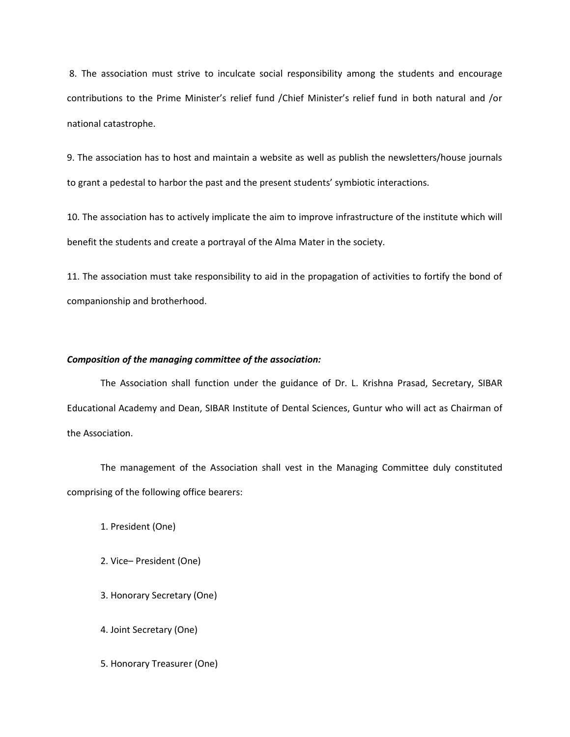8. The association must strive to inculcate social responsibility among the students and encourage contributions to the Prime Minister's relief fund /Chief Minister's relief fund in both natural and /or national catastrophe.

9. The association has to host and maintain a website as well as publish the newsletters/house journals to grant a pedestal to harbor the past and the present students' symbiotic interactions.

10. The association has to actively implicate the aim to improve infrastructure of the institute which will benefit the students and create a portrayal of the Alma Mater in the society.

11. The association must take responsibility to aid in the propagation of activities to fortify the bond of companionship and brotherhood.

## *Composition of the managing committee of the association:*

The Association shall function under the guidance of Dr. L. Krishna Prasad, Secretary, SIBAR Educational Academy and Dean, SIBAR Institute of Dental Sciences, Guntur who will act as Chairman of the Association.

The management of the Association shall vest in the Managing Committee duly constituted comprising of the following office bearers:

1. President (One)

2. Vice– President (One)

3. Honorary Secretary (One)

4. Joint Secretary (One)

5. Honorary Treasurer (One)